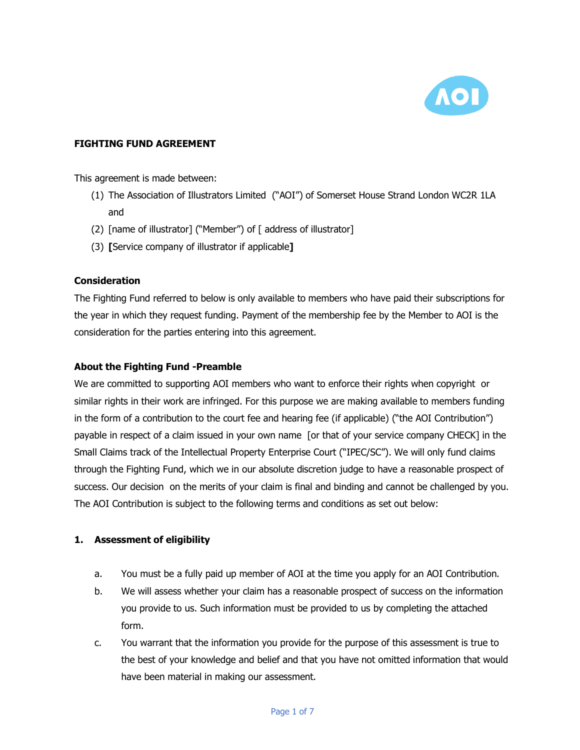

# **FIGHTING FUND AGREEMENT**

This agreement is made between:

- (1) The Association of Illustrators Limited ("AOI") of Somerset House Strand London WC2R 1LA and
- (2) [name of illustrator] ("Member") of [ address of illustrator]
- (3) **[**Service company of illustrator if applicable**]**

#### **Consideration**

The Fighting Fund referred to below is only available to members who have paid their subscriptions for the year in which they request funding. Payment of the membership fee by the Member to AOI is the consideration for the parties entering into this agreement.

## **About the Fighting Fund -Preamble**

We are committed to supporting AOI members who want to enforce their rights when copyright or similar rights in their work are infringed. For this purpose we are making available to members funding in the form of a contribution to the court fee and hearing fee (if applicable) ("the AOI Contribution") payable in respect of a claim issued in your own name [or that of your service company CHECK] in the Small Claims track of the Intellectual Property Enterprise Court ("IPEC/SC"). We will only fund claims through the Fighting Fund, which we in our absolute discretion judge to have a reasonable prospect of success. Our decision on the merits of your claim is final and binding and cannot be challenged by you. The AOI Contribution is subject to the following terms and conditions as set out below:

## **1. Assessment of eligibility**

- a. You must be a fully paid up member of AOI at the time you apply for an AOI Contribution.
- b. We will assess whether your claim has a reasonable prospect of success on the information you provide to us. Such information must be provided to us by completing the attached form.
- c. You warrant that the information you provide for the purpose of this assessment is true to the best of your knowledge and belief and that you have not omitted information that would have been material in making our assessment.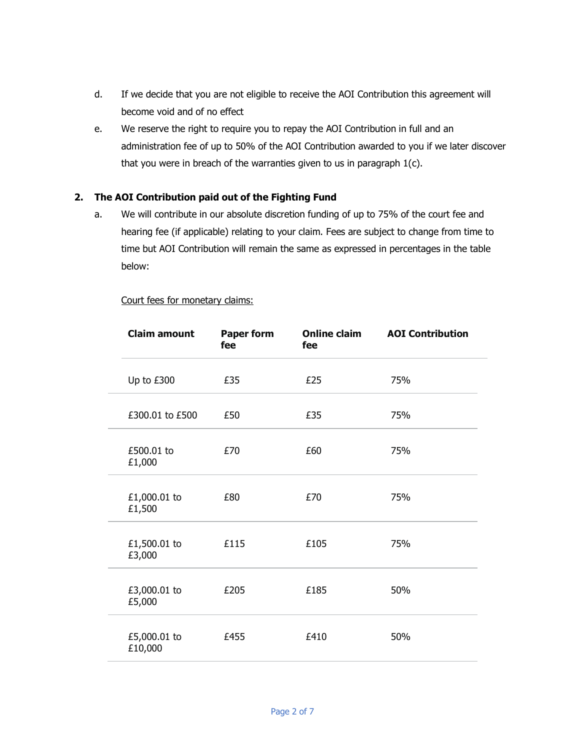- d. If we decide that you are not eligible to receive the AOI Contribution this agreement will become void and of no effect
- e. We reserve the right to require you to repay the AOI Contribution in full and an administration fee of up to 50% of the AOI Contribution awarded to you if we later discover that you were in breach of the warranties given to us in paragraph 1(c).

## **2. The AOI Contribution paid out of the Fighting Fund**

a. We will contribute in our absolute discretion funding of up to 75% of the court fee and hearing fee (if applicable) relating to your claim. Fees are subject to change from time to time but AOI Contribution will remain the same as expressed in percentages in the table below:

#### Court fees for monetary claims:

| <b>Claim amount</b>     | <b>Paper form</b><br>fee | <b>Online claim</b><br>fee | <b>AOI Contribution</b> |
|-------------------------|--------------------------|----------------------------|-------------------------|
| Up to £300              | £35                      | £25                        | 75%                     |
| £300.01 to £500         | £50                      | £35                        | 75%                     |
| £500.01 to<br>£1,000    | £70                      | £60                        | 75%                     |
| £1,000.01 to<br>£1,500  | £80                      | £70                        | 75%                     |
| £1,500.01 to<br>£3,000  | £115                     | £105                       | 75%                     |
| £3,000.01 to<br>£5,000  | £205                     | £185                       | 50%                     |
| £5,000.01 to<br>£10,000 | £455                     | £410                       | 50%                     |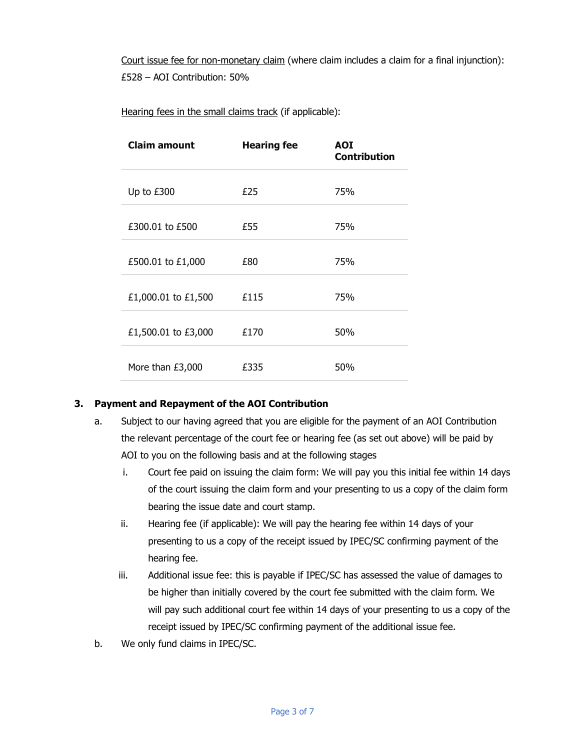Court issue fee for non-monetary claim (where claim includes a claim for a final injunction): £528 – AOI Contribution: 50%

Hearing fees in the small claims track (if applicable):

| <b>Claim amount</b> | <b>Hearing fee</b> | <b>AOI</b><br><b>Contribution</b> |
|---------------------|--------------------|-----------------------------------|
| Up to £300          | £25                | 75%                               |
| £300.01 to £500     | £55                | 75%                               |
| £500.01 to £1,000   | £80                | 75%                               |
| £1,000.01 to £1,500 | £115               | 75%                               |
| £1,500.01 to £3,000 | £170               | 50%                               |
| More than £3,000    | £335               | 50%                               |

## **3. Payment and Repayment of the AOI Contribution**

- a. Subject to our having agreed that you are eligible for the payment of an AOI Contribution the relevant percentage of the court fee or hearing fee (as set out above) will be paid by AOI to you on the following basis and at the following stages
	- i. Court fee paid on issuing the claim form: We will pay you this initial fee within 14 days of the court issuing the claim form and your presenting to us a copy of the claim form bearing the issue date and court stamp.
	- ii. Hearing fee (if applicable): We will pay the hearing fee within 14 days of your presenting to us a copy of the receipt issued by IPEC/SC confirming payment of the hearing fee.
	- iii. Additional issue fee: this is payable if IPEC/SC has assessed the value of damages to be higher than initially covered by the court fee submitted with the claim form. We will pay such additional court fee within 14 days of your presenting to us a copy of the receipt issued by IPEC/SC confirming payment of the additional issue fee.
- b. We only fund claims in IPEC/SC.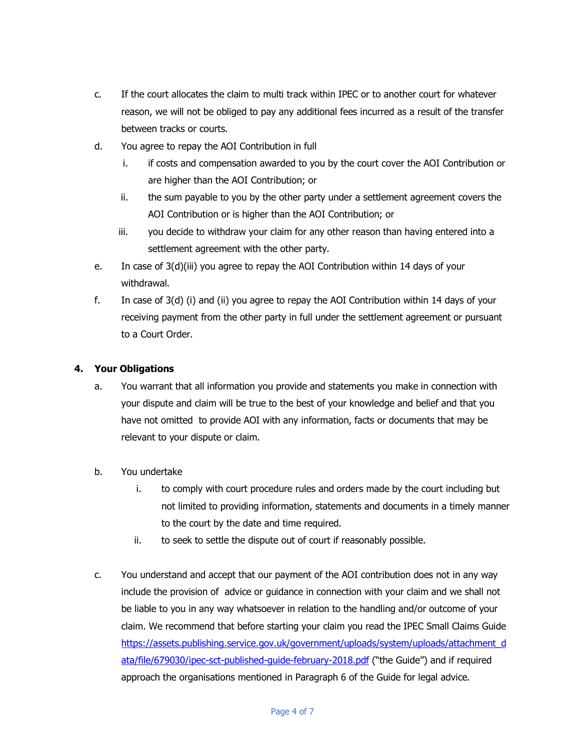- c. If the court allocates the claim to multi track within IPEC or to another court for whatever reason, we will not be obliged to pay any additional fees incurred as a result of the transfer between tracks or courts.
- d. You agree to repay the AOI Contribution in full
	- i. if costs and compensation awarded to you by the court cover the AOI Contribution or are higher than the AOI Contribution; or
	- ii. the sum payable to you by the other party under a settlement agreement covers the AOI Contribution or is higher than the AOI Contribution; or
	- iii. you decide to withdraw your claim for any other reason than having entered into a settlement agreement with the other party.
- e. In case of 3(d)(iii) you agree to repay the AOI Contribution within 14 days of your withdrawal.
- f. In case of 3(d) (i) and (ii) you agree to repay the AOI Contribution within 14 days of your receiving payment from the other party in full under the settlement agreement or pursuant to a Court Order.

# **4. Your Obligations**

- a. You warrant that all information you provide and statements you make in connection with your dispute and claim will be true to the best of your knowledge and belief and that you have not omitted to provide AOI with any information, facts or documents that may be relevant to your dispute or claim.
- b. You undertake
	- i. to comply with court procedure rules and orders made by the court including but not limited to providing information, statements and documents in a timely manner to the court by the date and time required.
	- ii. to seek to settle the dispute out of court if reasonably possible.
- c. You understand and accept that our payment of the AOI contribution does not in any way include the provision of advice or guidance in connection with your claim and we shall not be liable to you in any way whatsoever in relation to the handling and/or outcome of your claim. We recommend that before starting your claim you read the IPEC Small Claims Guide https://assets.publishing.service.gov.uk/government/uploads/system/uploads/attachment\_d ata/file/679030/ipec-sct-published-guide-february-2018.pdf ("the Guide") and if required approach the organisations mentioned in Paragraph 6 of the Guide for legal advice.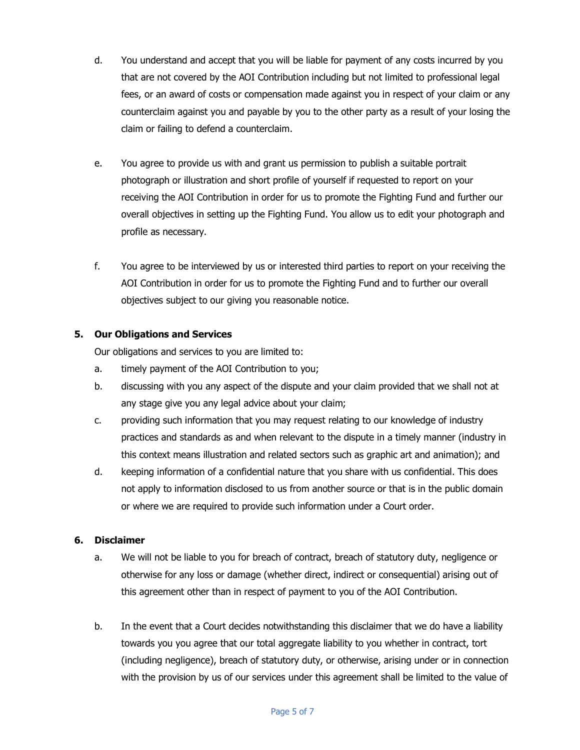- d. You understand and accept that you will be liable for payment of any costs incurred by you that are not covered by the AOI Contribution including but not limited to professional legal fees, or an award of costs or compensation made against you in respect of your claim or any counterclaim against you and payable by you to the other party as a result of your losing the claim or failing to defend a counterclaim.
- e. You agree to provide us with and grant us permission to publish a suitable portrait photograph or illustration and short profile of yourself if requested to report on your receiving the AOI Contribution in order for us to promote the Fighting Fund and further our overall objectives in setting up the Fighting Fund. You allow us to edit your photograph and profile as necessary.
- f. You agree to be interviewed by us or interested third parties to report on your receiving the AOI Contribution in order for us to promote the Fighting Fund and to further our overall objectives subject to our giving you reasonable notice.

## **5. Our Obligations and Services**

Our obligations and services to you are limited to:

- a. timely payment of the AOI Contribution to you;
- b. discussing with you any aspect of the dispute and your claim provided that we shall not at any stage give you any legal advice about your claim;
- c. providing such information that you may request relating to our knowledge of industry practices and standards as and when relevant to the dispute in a timely manner (industry in this context means illustration and related sectors such as graphic art and animation); and
- d. keeping information of a confidential nature that you share with us confidential. This does not apply to information disclosed to us from another source or that is in the public domain or where we are required to provide such information under a Court order.

#### **6. Disclaimer**

- a. We will not be liable to you for breach of contract, breach of statutory duty, negligence or otherwise for any loss or damage (whether direct, indirect or consequential) arising out of this agreement other than in respect of payment to you of the AOI Contribution.
- b. In the event that a Court decides notwithstanding this disclaimer that we do have a liability towards you you agree that our total aggregate liability to you whether in contract, tort (including negligence), breach of statutory duty, or otherwise, arising under or in connection with the provision by us of our services under this agreement shall be limited to the value of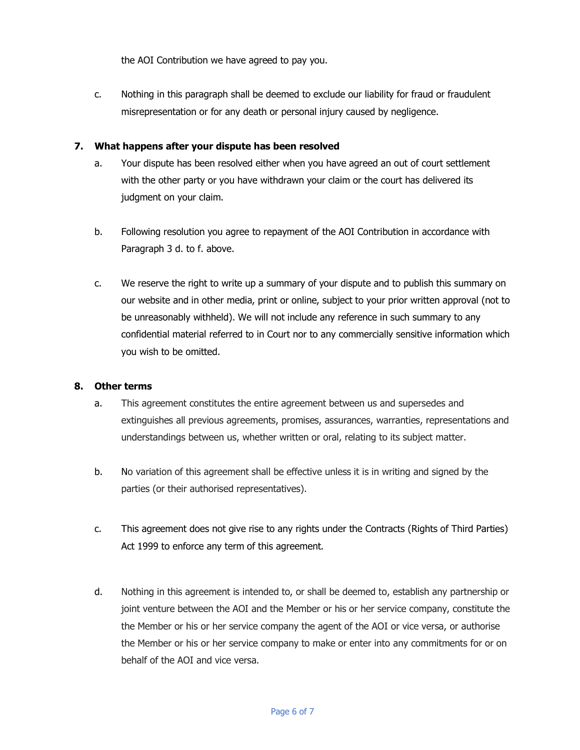the AOI Contribution we have agreed to pay you.

c. Nothing in this paragraph shall be deemed to exclude our liability for fraud or fraudulent misrepresentation or for any death or personal injury caused by negligence.

#### **7. What happens after your dispute has been resolved**

- a. Your dispute has been resolved either when you have agreed an out of court settlement with the other party or you have withdrawn your claim or the court has delivered its judgment on your claim.
- b. Following resolution you agree to repayment of the AOI Contribution in accordance with Paragraph 3 d. to f. above.
- c. We reserve the right to write up a summary of your dispute and to publish this summary on our website and in other media, print or online, subject to your prior written approval (not to be unreasonably withheld). We will not include any reference in such summary to any confidential material referred to in Court nor to any commercially sensitive information which you wish to be omitted.

#### **8. Other terms**

- a. This agreement constitutes the entire agreement between us and supersedes and extinguishes all previous agreements, promises, assurances, warranties, representations and understandings between us, whether written or oral, relating to its subject matter.
- b. No variation of this agreement shall be effective unless it is in writing and signed by the parties (or their authorised representatives).
- c. This agreement does not give rise to any rights under the Contracts (Rights of Third Parties) Act 1999 to enforce any term of this agreement.
- d. Nothing in this agreement is intended to, or shall be deemed to, establish any partnership or joint venture between the AOI and the Member or his or her service company, constitute the the Member or his or her service company the agent of the AOI or vice versa, or authorise the Member or his or her service company to make or enter into any commitments for or on behalf of the AOI and vice versa.